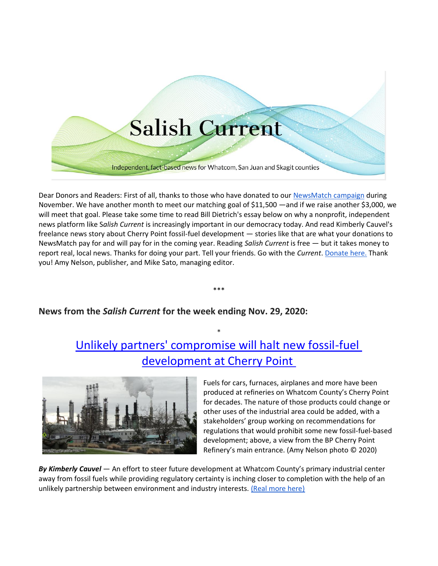# **Salish Current**

Independent, fact-based news for Whatcom, San Juan and Skagit counties

Dear Donors and Readers: First of all, thanks to those who have donated to our [NewsMatch campaign](https://salish-current.org/donate) during November. We have another month to meet our matching goal of \$11,500 —and if we raise another \$3,000, we will meet that goal. Please take some time to read Bill Dietrich's essay below on why a nonprofit, independent news platform like S*alish Current* is increasingly important in our democracy today. And read Kimberly Cauvel's freelance news story about Cherry Point fossil-fuel development — stories like that are what your donations to NewsMatch pay for and will pay for in the coming year. Reading *Salish Current* is free — but it takes money to report real, local news. Thanks for doing your part. Tell your friends. Go with the *Current*. [Donate here.](https://salish-current.org/donate) Thank you! Amy Nelson, publisher, and Mike Sato, managing editor.

## **News from the** *Salish Current* **for the week ending Nov. 29, 2020:**

# [Unlikely partners' compromise will halt new fossil-fuel](https://salish-current.org/2020/11/29/unlikely-partners-close-to-move-away-from-fossil-fuel-industries-at-cherry-point/) [development at Cherry Point](https://salish-current.org/2020/11/29/unlikely-partners-close-to-move-away-from-fossil-fuel-industries-at-cherry-point/)

\*

\*\*\*



Fuels for cars, furnaces, airplanes and more have been produced at refineries on Whatcom County's Cherry Point for decades. The nature of those products could change or other uses of the industrial area could be added, with a stakeholders' group working on recommendations for regulations that would prohibit some new fossil-fuel-based development; above, a view from the BP Cherry Point Refinery's main entrance. (Amy Nelson photo © 2020)

*By Kimberly Cauvel* — An effort to steer future development at Whatcom County's primary industrial center away from fossil fuels while providing regulatory certainty is inching closer to completion with the help of an unlikely partnership between environment and industry interests. [\(Real more here\)](https://salish-current.org/2020/11/29/unlikely-partners-close-to-move-away-from-fossil-fuel-industries-at-cherry-point/)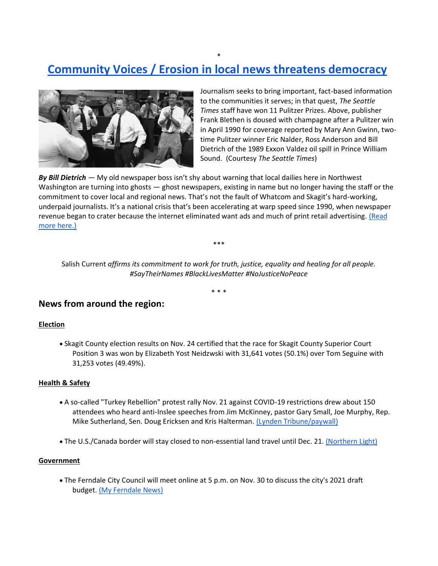# \* **[Community Voices / Erosion in local news threatens democracy](https://salish-current.org/2020/11/27/community-voices-erosion-in-local-news-threatens-democracy/)**



Journalism seeks to bring important, fact-based information to the communities it serves; in that quest, *The Seattle Times* staff have won 11 Pulitzer Prizes. Above, publisher Frank Blethen is doused with champagne after a Pulitzer win in April 1990 for coverage reported by Mary Ann Gwinn, twotime Pulitzer winner Eric Nalder, Ross Anderson and Bill Dietrich of the 1989 Exxon Valdez oil spill in Prince William Sound. (Courtesy *The Seattle Times*)

*By Bill Dietrich* — My old newspaper boss isn't shy about warning that local dailies here in Northwest Washington are turning into ghosts — ghost newspapers, existing in name but no longer having the staff or the commitment to cover local and regional news. That's not the fault of Whatcom and Skagit's hard-working, underpaid journalists. It's a national crisis that's been accelerating at warp speed since 1990, when newspaper revenue began to crater because the internet eliminated want ads and much of print retail advertising. (Read [more here.\)](https://salish-current.org/2020/11/27/community-voices-erosion-in-local-news-threatens-democracy/)

Salish Current *affirms its commitment to work for truth, justice, equality and healing for all people. #SayTheirNames #BlackLivesMatter #NoJusticeNoPeace*

\*\*\*

\* \* \*

### **News from around the region:**

#### **Election**

• Skagit County election results on Nov. 24 certified that the race for Skagit County Superior Court Position 3 was won by Elizabeth Yost Neidzwski with 31,641 votes (50.1%) over Tom Seguine with 31,253 votes (49.49%).

#### **Health & Safety**

- A so-called "Turkey Rebellion" protest rally Nov. 21 against COVID-19 restrictions drew about 150 attendees who heard anti-Inslee speeches from Jim McKinney, pastor Gary Small, Joe Murphy, Rep. Mike Sutherland, Sen. Doug Ericksen and Kris Halterman. [\(Lynden Tribune/paywall\)](https://www.lyndentribune.com/news/turkey-rebellion-targets-inslee/article_8d23476e-2e88-11eb-b54b-3bce13ac9eb1.html)
- The U.S./Canada border will stay closed to non-essential land travel until Dec. 21. [\(Northern Light\)](https://www.thenorthernlight.com/stories/uscanada-border-closure-extended-until-december-21,12019?)

#### **Government**

• The Ferndale City Council will meet online at 5 p.m. on Nov. 30 to discuss the city's 2021 draft budget. [\(My Ferndale News\)](https://myferndalenews.com/special-ferndale-city-council-meeting-scheduled-for-councilmembers-to-discuss-the-draft-2021-budget_110118/)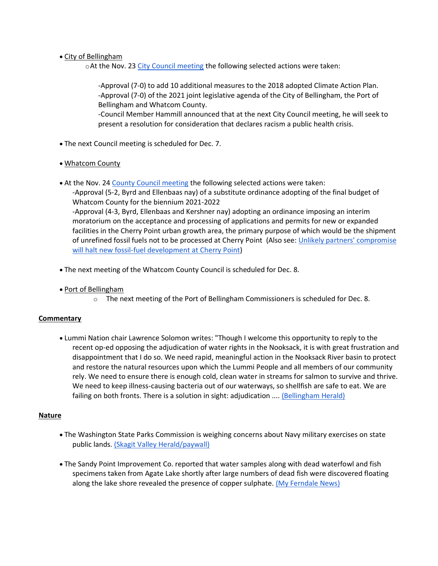- City of Bellingham
	- oAt the Nov. 23 [City Council meeting](https://meetings.cob.org/Meetings/ViewMeeting?id=2293&doctype=3) the following selected actions were taken:

-Approval (7-0) to add 10 additional measures to the 2018 adopted Climate Action Plan. -Approval (7-0) of the 2021 joint legislative agenda of the City of Bellingham, the Port of Bellingham and Whatcom County.

-Council Member Hammill announced that at the next City Council meeting, he will seek to present a resolution for consideration that declares racism a public health crisis.

- The next Council meeting is scheduled for Dec. 7.
- Whatcom County
- At the Nov. 24 [County Council meeting](https://whatcom.legistar.com/View.ashx?M=E2&ID=735082&GUID=587D755D-8C70-4EF7-9524-75B6CF0FDBAA) the following selected actions were taken: -Approval (5-2, Byrd and Ellenbaas nay) of a substitute ordinance adopting of the final budget of Whatcom County for the biennium 2021-2022

-Approval (4-3, Byrd, Ellenbaas and Kershner nay) adopting an ordinance imposing an interim moratorium on the acceptance and processing of applications and permits for new or expanded facilities in the Cherry Point urban growth area, the primary purpose of which would be the shipment of unrefined fossil fuels not to be processed at Cherry Point (Also see: [Unlikely partners' compromise](https://salish-current.org/2020/11/29/unlikely-partners-close-to-move-away-from-fossil-fuel-industries-at-cherry-point/)  [will halt new fossil-fuel development at Cherry Point\)](https://salish-current.org/2020/11/29/unlikely-partners-close-to-move-away-from-fossil-fuel-industries-at-cherry-point/)

- The next meeting of the Whatcom County Council is scheduled for Dec. 8.
- Port of Bellingham
	- $\circ$  The next meeting of the Port of Bellingham Commissioners is scheduled for Dec. 8.

#### **Commentary**

• Lummi Nation chair Lawrence Solomon writes: "Though I welcome this opportunity to reply to the recent op-ed opposing the adjudication of water rights in the Nooksack, it is with great frustration and disappointment that I do so. We need rapid, meaningful action in the Nooksack River basin to protect and restore the natural resources upon which the Lummi People and all members of our community rely. We need to ensure there is enough cold, clean water in streams for salmon to survive and thrive. We need to keep illness-causing bacteria out of our waterways, so shellfish are safe to eat. We are failing on both fronts. There is a solution in sight: adjudication .... [\(Bellingham Herald\)](https://www.bellinghamherald.com/opinion/op-ed/article247292854.html)

#### **Nature**

- The Washington State Parks Commission is weighing concerns about Navy military exercises on state public lands. [\(Skagit Valley Herald/paywall\)](https://www.goskagit.com/news/local_news/navy-training-proposal-met-with-concern/article_4d0ad8a1-b415-5683-a13f-990dcd2ab49b.html)
- The Sandy Point Improvement Co. reported that water samples along with dead waterfowl and fish specimens taken from Agate Lake shortly after large numbers of dead fish were discovered floating along the lake shore revealed the presence of copper sulphate. [\(My Ferndale News\)](https://myferndalenews.com/copper-sulphate-may-be-to-blame-for-september-ferndale-lake-fish-kill_109977/)